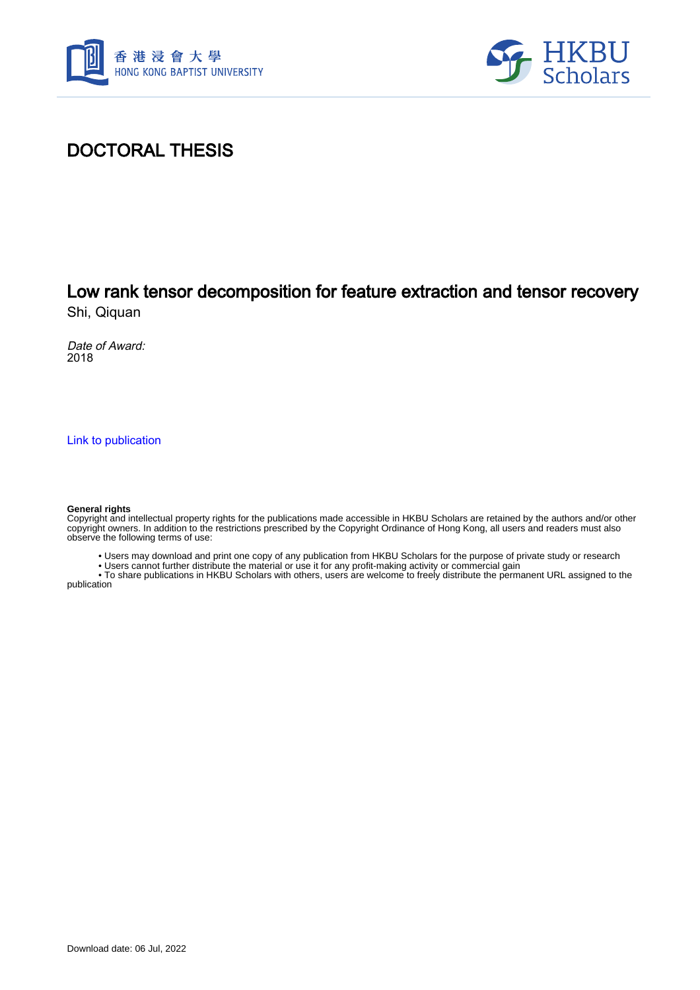



### DOCTORAL THESIS

## Low rank tensor decomposition for feature extraction and tensor recovery

Shi, Qiquan

Date of Award: 2018

[Link to publication](https://scholars.hkbu.edu.hk/en/studentTheses/2f7eac09-533f-4677-a35d-fa655910951f)

#### **General rights**

Copyright and intellectual property rights for the publications made accessible in HKBU Scholars are retained by the authors and/or other copyright owners. In addition to the restrictions prescribed by the Copyright Ordinance of Hong Kong, all users and readers must also observe the following terms of use:

• Users may download and print one copy of any publication from HKBU Scholars for the purpose of private study or research

• Users cannot further distribute the material or use it for any profit-making activity or commercial gain

 • To share publications in HKBU Scholars with others, users are welcome to freely distribute the permanent URL assigned to the publication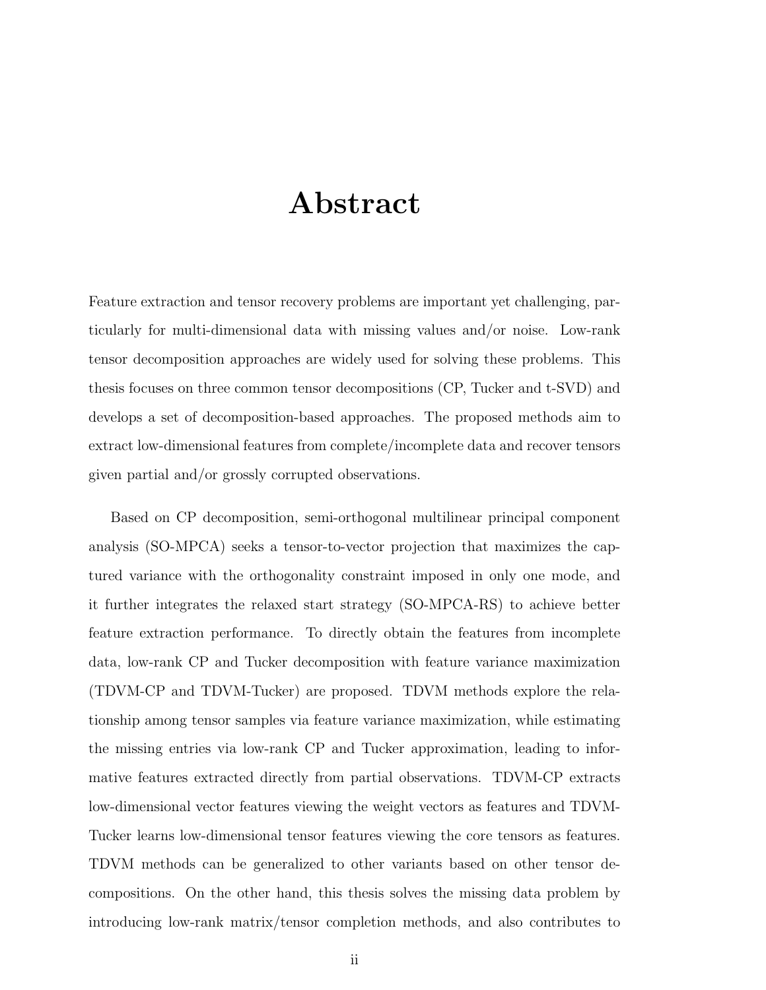### Abstract

Feature extraction and tensor recovery problems are important yet challenging, particularly for multi-dimensional data with missing values and/or noise. Low-rank tensor decomposition approaches are widely used for solving these problems. This thesis focuses on three common tensor decompositions (CP, Tucker and t-SVD) and develops a set of decomposition-based approaches. The proposed methods aim to extract low-dimensional features from complete/incomplete data and recover tensors given partial and/or grossly corrupted observations.

Based on CP decomposition, semi-orthogonal multilinear principal component analysis (SO-MPCA) seeks a tensor-to-vector projection that maximizes the captured variance with the orthogonality constraint imposed in only one mode, and it further integrates the relaxed start strategy (SO-MPCA-RS) to achieve better feature extraction performance. To directly obtain the features from incomplete data, low-rank CP and Tucker decomposition with feature variance maximization (TDVM-CP and TDVM-Tucker) are proposed. TDVM methods explore the relationship among tensor samples via feature variance maximization, while estimating the missing entries via low-rank CP and Tucker approximation, leading to informative features extracted directly from partial observations. TDVM-CP extracts low-dimensional vector features viewing the weight vectors as features and TDVM-Tucker learns low-dimensional tensor features viewing the core tensors as features. TDVM methods can be generalized to other variants based on other tensor decompositions. On the other hand, this thesis solves the missing data problem by introducing low-rank matrix/tensor completion methods, and also contributes to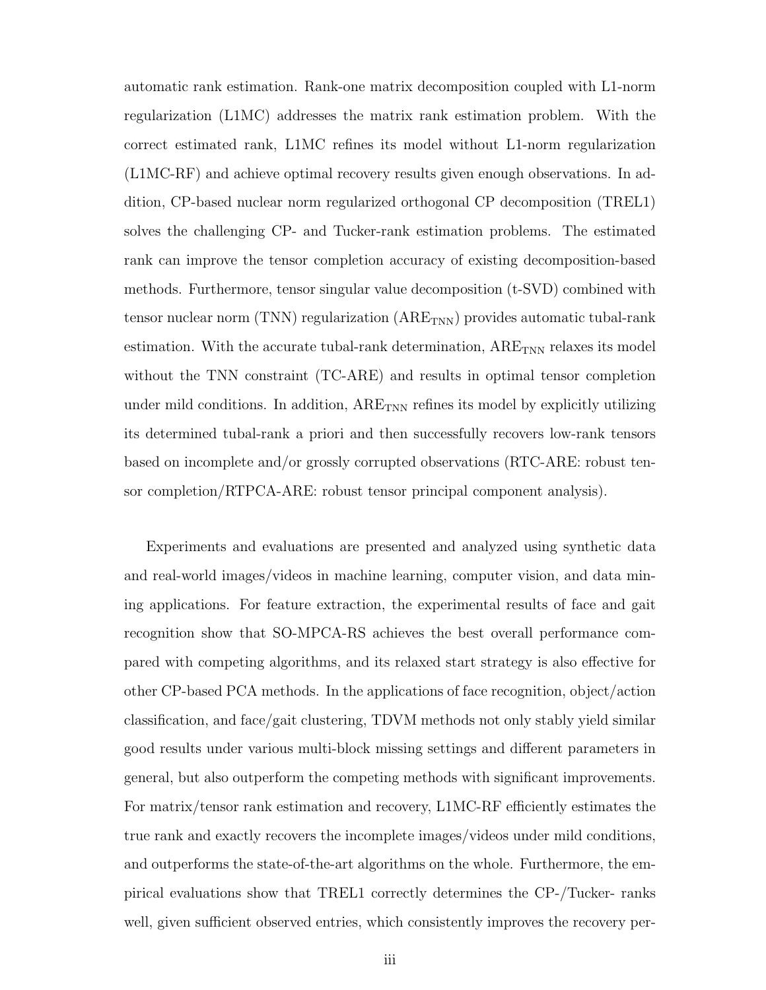automatic rank estimation. Rank-one matrix decomposition coupled with L1-norm regularization (L1MC) addresses the matrix rank estimation problem. With the correct estimated rank, L1MC refines its model without L1-norm regularization (L1MC-RF) and achieve optimal recovery results given enough observations. In addition, CP-based nuclear norm regularized orthogonal CP decomposition (TREL1) solves the challenging CP- and Tucker-rank estimation problems. The estimated rank can improve the tensor completion accuracy of existing decomposition-based methods. Furthermore, tensor singular value decomposition (t-SVD) combined with tensor nuclear norm (TNN) regularization  $(ARE_{TNN})$  provides automatic tubal-rank estimation. With the accurate tubal-rank determination,  $ARE_{TNN}$  relaxes its model without the TNN constraint (TC-ARE) and results in optimal tensor completion under mild conditions. In addition,  $ARE_{TNN}$  refines its model by explicitly utilizing its determined tubal-rank a priori and then successfully recovers low-rank tensors based on incomplete and/or grossly corrupted observations (RTC-ARE: robust tensor completion/RTPCA-ARE: robust tensor principal component analysis).

Experiments and evaluations are presented and analyzed using synthetic data and real-world images/videos in machine learning, computer vision, and data mining applications. For feature extraction, the experimental results of face and gait recognition show that SO-MPCA-RS achieves the best overall performance compared with competing algorithms, and its relaxed start strategy is also effective for other CP-based PCA methods. In the applications of face recognition, object/action classification, and face/gait clustering, TDVM methods not only stably yield similar good results under various multi-block missing settings and different parameters in general, but also outperform the competing methods with significant improvements. For matrix/tensor rank estimation and recovery, L1MC-RF efficiently estimates the true rank and exactly recovers the incomplete images/videos under mild conditions, and outperforms the state-of-the-art algorithms on the whole. Furthermore, the empirical evaluations show that TREL1 correctly determines the CP-/Tucker- ranks well, given sufficient observed entries, which consistently improves the recovery per-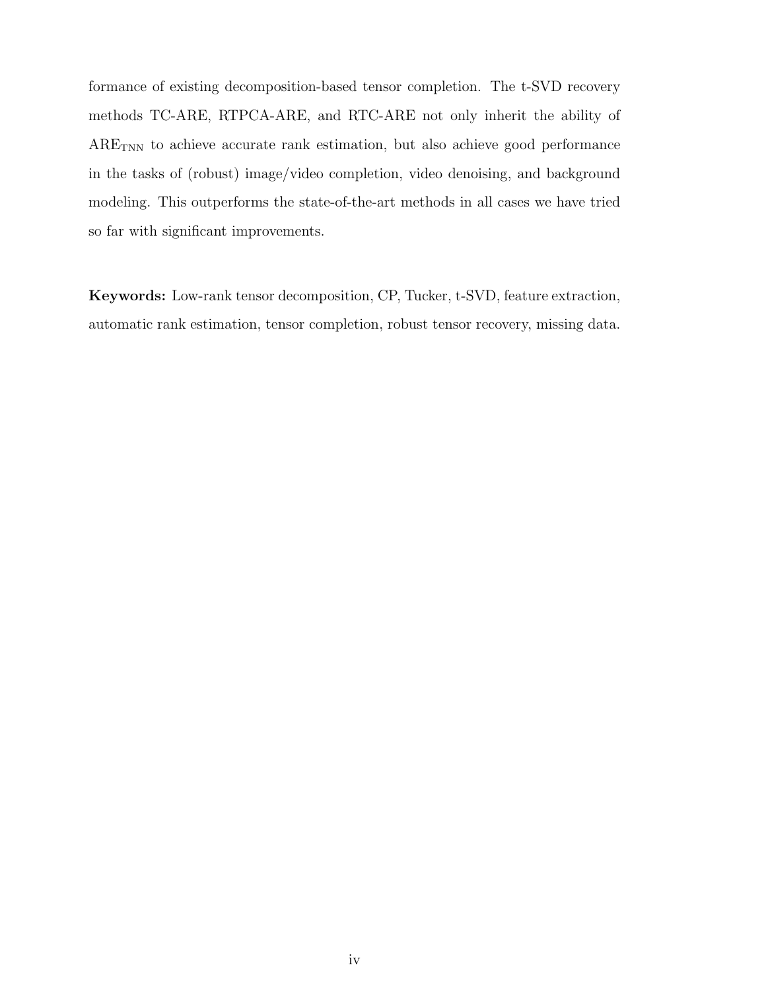formance of existing decomposition-based tensor completion. The t-SVD recovery methods TC-ARE, RTPCA-ARE, and RTC-ARE not only inherit the ability of  $\text{ARE}_{\text{TNN}}$  to achieve accurate rank estimation, but also achieve good performance in the tasks of (robust) image/video completion, video denoising, and background modeling. This outperforms the state-of-the-art methods in all cases we have tried so far with significant improvements.

Keywords: Low-rank tensor decomposition, CP, Tucker, t-SVD, feature extraction, automatic rank estimation, tensor completion, robust tensor recovery, missing data.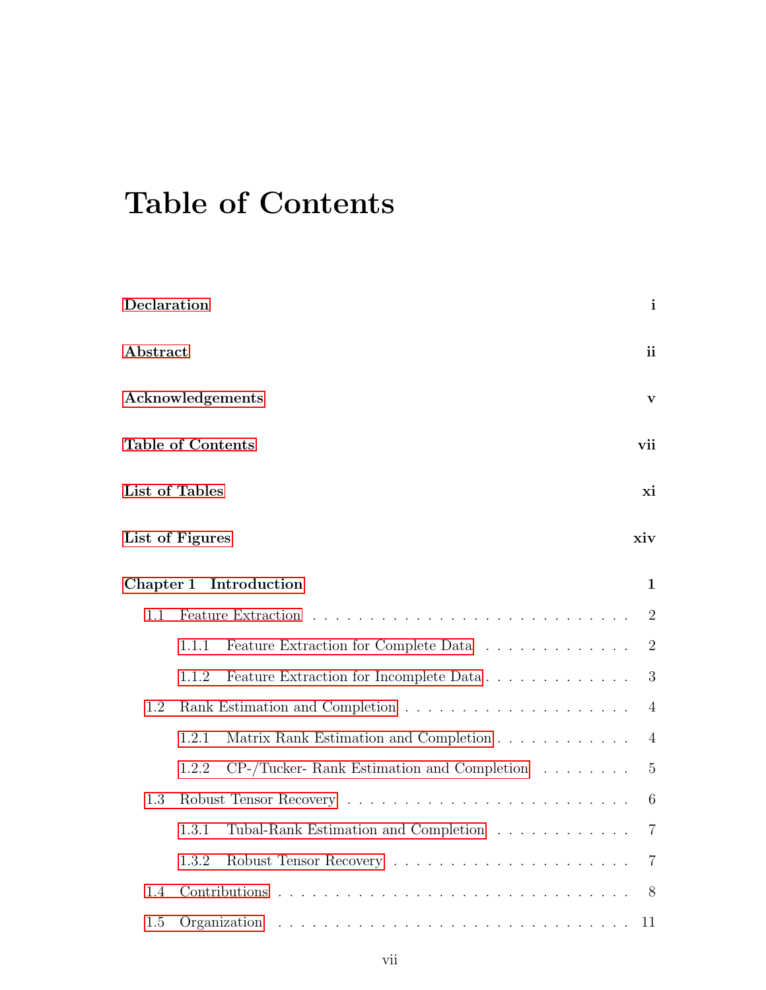# Table of Contents

| Declaration              |       |                                              | $\mathbf{i}$   |
|--------------------------|-------|----------------------------------------------|----------------|
| Abstract                 |       |                                              | ii             |
| Acknowledgements         |       |                                              | V              |
| <b>Table of Contents</b> |       |                                              | vii            |
| List of Tables           |       |                                              | хi             |
| List of Figures          |       |                                              | xiv            |
| Chapter 1                |       | Introduction                                 | $\mathbf{1}$   |
| 1.1                      |       | <b>Feature Extraction</b>                    | $\overline{2}$ |
|                          | 1.1.1 | Feature Extraction for Complete Data         | $\overline{2}$ |
|                          | 1.1.2 | Feature Extraction for Incomplete Data       | 3              |
| 1.2                      |       |                                              | $\overline{4}$ |
|                          | 1.2.1 | Matrix Rank Estimation and Completion        | $\overline{4}$ |
|                          | 1.2.2 | $CP$ -/Tucker-Rank Estimation and Completion | $\overline{5}$ |
| 1.3                      |       |                                              | 6              |
|                          | 1.3.1 | Tubal-Rank Estimation and Completion         | 7              |
|                          | 1.3.2 |                                              | $\overline{7}$ |
| 1.4                      |       |                                              | 8              |
| 1.5                      |       | Organization                                 | 11             |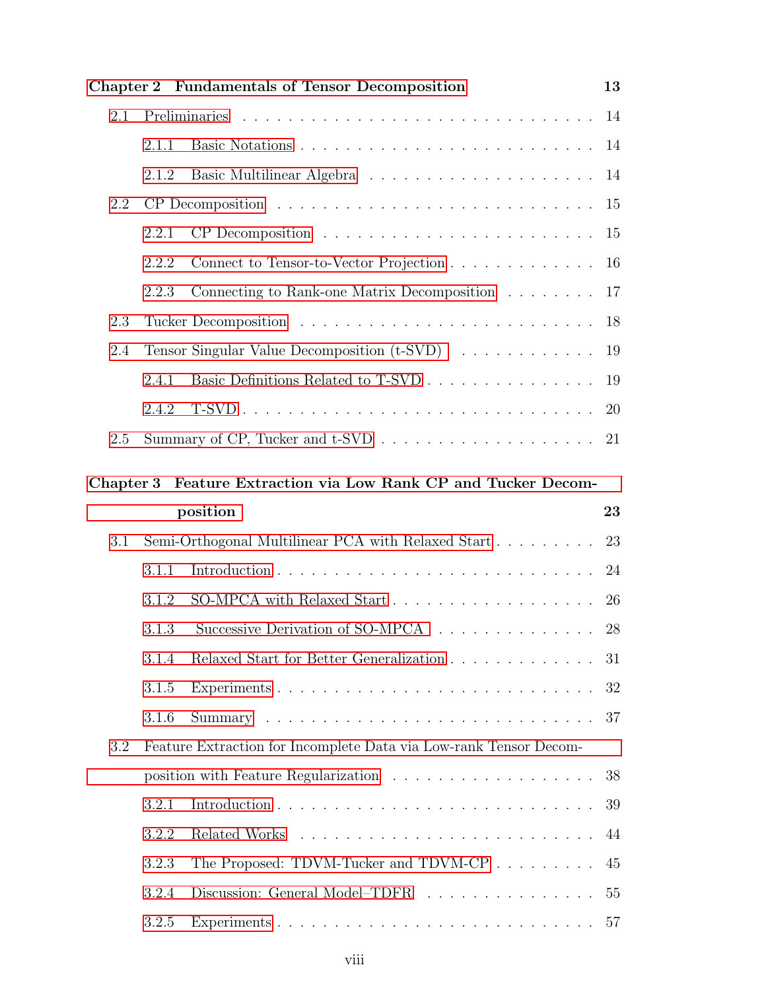| Chapter 2 Fundamentals of Tensor Decomposition<br>13 |       |                                                                   |    |  |  |
|------------------------------------------------------|-------|-------------------------------------------------------------------|----|--|--|
| 2.1                                                  |       |                                                                   | 14 |  |  |
|                                                      | 2.1.1 |                                                                   | 14 |  |  |
|                                                      | 2.1.2 |                                                                   | 14 |  |  |
| 2.2                                                  |       |                                                                   | 15 |  |  |
|                                                      | 2.2.1 |                                                                   | 15 |  |  |
|                                                      | 2.2.2 | Connect to Tensor-to-Vector Projection 16                         |    |  |  |
|                                                      | 2.2.3 | Connecting to Rank-one Matrix Decomposition 17                    |    |  |  |
| 2.3                                                  |       |                                                                   |    |  |  |
| 2.4                                                  |       | Tensor Singular Value Decomposition $(t-SVD)$ 19                  |    |  |  |
|                                                      | 2.4.1 | Basic Definitions Related to T-SVD 19                             |    |  |  |
|                                                      | 2.4.2 |                                                                   |    |  |  |
| 2.5                                                  |       |                                                                   | 21 |  |  |
|                                                      |       | Chapter 3 Feature Extraction via Low Rank CP and Tucker Decom-    |    |  |  |
|                                                      |       | position                                                          | 23 |  |  |
| 3.1                                                  |       |                                                                   |    |  |  |
|                                                      |       | Semi-Orthogonal Multilinear PCA with Relaxed Start                | 23 |  |  |
|                                                      | 3.1.1 |                                                                   | 24 |  |  |
|                                                      | 3.1.2 |                                                                   | 26 |  |  |
|                                                      | 3.1.3 | Successive Derivation of SO-MPCA 28                               |    |  |  |
|                                                      | 3.1.4 | Relaxed Start for Better Generalization                           | 31 |  |  |
|                                                      | 3.1.5 |                                                                   | 32 |  |  |
|                                                      | 3.1.6 |                                                                   | 37 |  |  |
| 3.2                                                  |       | Feature Extraction for Incomplete Data via Low-rank Tensor Decom- |    |  |  |
|                                                      |       |                                                                   | 38 |  |  |
|                                                      | 3.2.1 |                                                                   | 39 |  |  |
|                                                      | 3.2.2 | Related Works                                                     | 44 |  |  |
|                                                      | 3.2.3 | The Proposed: TDVM-Tucker and TDVM-CP                             | 45 |  |  |
|                                                      | 3.2.4 | Discussion: General Model-TDFR                                    | 55 |  |  |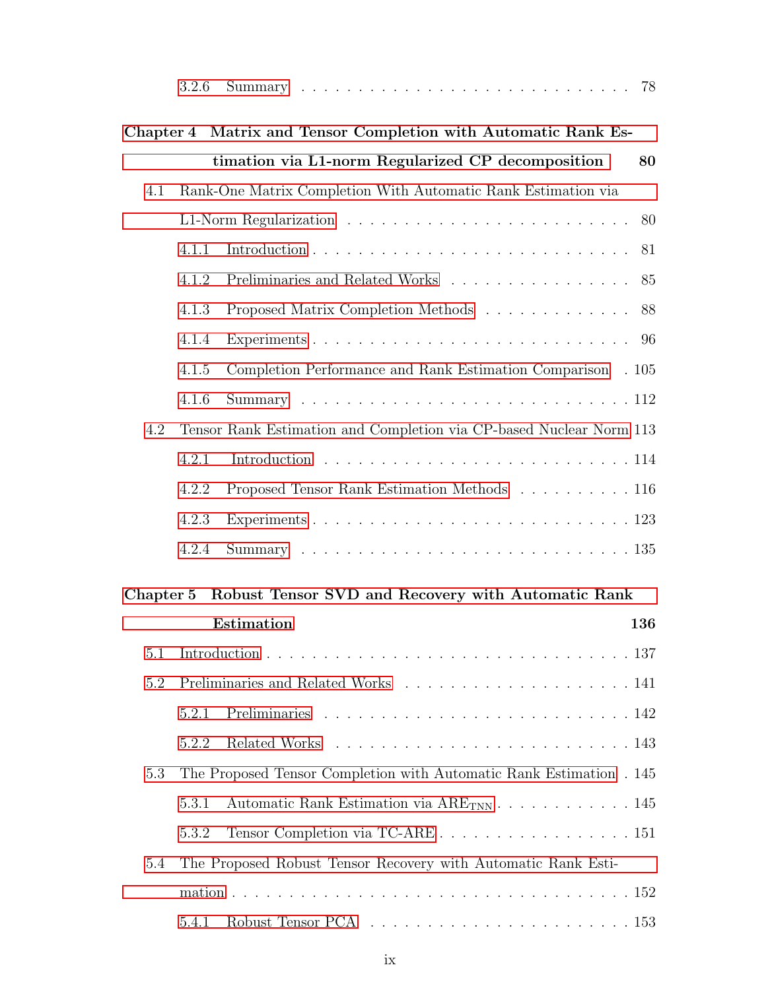|           | 3.2.6 |                                                                     | 78  |
|-----------|-------|---------------------------------------------------------------------|-----|
| Chapter 4 |       | Matrix and Tensor Completion with Automatic Rank Es-                |     |
|           |       | timation via L1-norm Regularized CP decomposition                   | 80  |
| 4.1       |       | Rank-One Matrix Completion With Automatic Rank Estimation via       |     |
|           |       |                                                                     | 80  |
|           | 4.1.1 |                                                                     | 81  |
|           | 4.1.2 | Preliminaries and Related Works                                     | 85  |
|           | 4.1.3 | Proposed Matrix Completion Methods                                  | 88  |
|           | 4.1.4 |                                                                     | 96  |
|           | 4.1.5 | Completion Performance and Rank Estimation Comparison . 105         |     |
|           | 4.1.6 |                                                                     |     |
| 4.2       |       | Tensor Rank Estimation and Completion via CP-based Nuclear Norm 113 |     |
|           | 4.2.1 |                                                                     |     |
|           | 4.2.2 | Proposed Tensor Rank Estimation Methods 116                         |     |
|           | 4.2.3 |                                                                     |     |
|           | 4.2.4 |                                                                     |     |
| Chapter 5 |       | Robust Tensor SVD and Recovery with Automatic Rank                  |     |
|           |       | Estimation                                                          | 136 |
| 5.1       |       |                                                                     |     |
| 5.2       |       |                                                                     |     |
|           | 5.2.1 |                                                                     |     |
|           | 5.2.2 |                                                                     |     |
| 5.3       |       | The Proposed Tensor Completion with Automatic Rank Estimation . 145 |     |
|           | 5.3.1 | Automatic Rank Estimation via $\text{ARE}_{\text{TNN}}$ 145         |     |
|           | 5.3.2 | Tensor Completion via TC-ARE 151                                    |     |
| 5.4       |       | The Proposed Robust Tensor Recovery with Automatic Rank Esti-       |     |
|           |       |                                                                     |     |
|           | 5.4.1 |                                                                     |     |